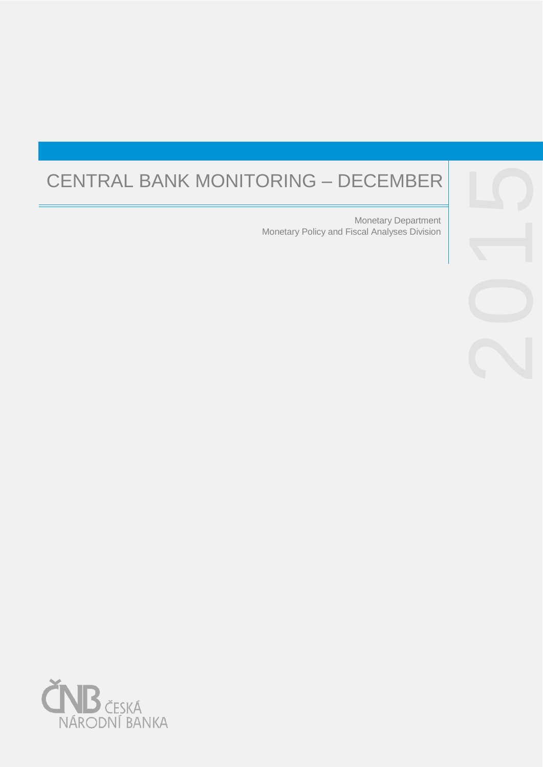# CENTRAL BANK MONITORING – DECEMBER

Monetary Policy and Fiscal Analyses Division Monetary Department



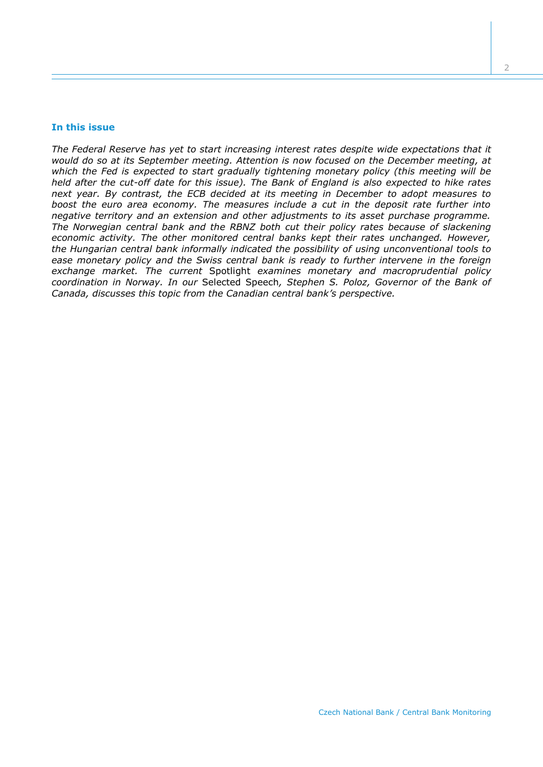#### **In this issue**

*The Federal Reserve has yet to start increasing interest rates despite wide expectations that it would do so at its September meeting. Attention is now focused on the December meeting, at which the Fed is expected to start gradually tightening monetary policy (this meeting will be held after the cut-off date for this issue). The Bank of England is also expected to hike rates next year. By contrast, the ECB decided at its meeting in December to adopt measures to boost the euro area economy. The measures include a cut in the deposit rate further into negative territory and an extension and other adjustments to its asset purchase programme. The Norwegian central bank and the RBNZ both cut their policy rates because of slackening economic activity. The other monitored central banks kept their rates unchanged. However, the Hungarian central bank informally indicated the possibility of using unconventional tools to ease monetary policy and the Swiss central bank is ready to further intervene in the foreign exchange market. The current* Spotlight *examines monetary and macroprudential policy coordination in Norway. In our* Selected Speech*, Stephen S. Poloz, Governor of the Bank of Canada, discusses this topic from the Canadian central bank's perspective.*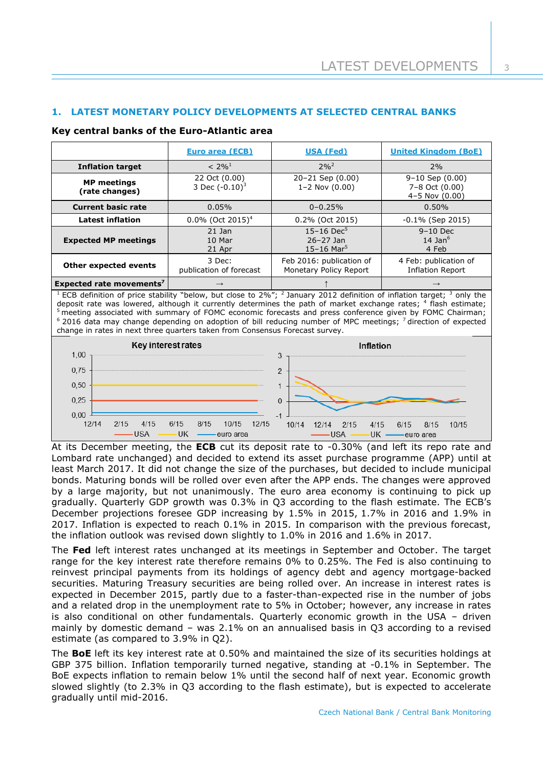3

# **1. LATEST MONETARY POLICY DEVELOPMENTS AT SELECTED CENTRAL BANKS**

## **Key central banks of the Euro-Atlantic area**

|                                      | <b>Euro area (ECB)</b>             | <b>USA (Fed)</b>                                             | <b>United Kingdom (BoE)</b>                             |
|--------------------------------------|------------------------------------|--------------------------------------------------------------|---------------------------------------------------------|
| <b>Inflation target</b>              | $< 2\%^{1}$                        | $2\%^{2}$                                                    | 2%                                                      |
| <b>MP</b> meetings<br>(rate changes) | 22 Oct (0.00)<br>3 Dec $(-0.10)^3$ | $20 - 21$ Sep $(0.00)$<br>$1 - 2$ Nov $(0.00)$               | $9-10$ Sep $(0.00)$<br>7-8 Oct (0.00)<br>4-5 Nov (0.00) |
| <b>Current basic rate</b>            | 0.05%                              | $0 - 0.25%$                                                  | 0.50%                                                   |
| <b>Latest inflation</b>              | $0.0\%$ (Oct 2015) <sup>4</sup>    | 0.2% (Oct 2015)                                              | $-0.1\%$ (Sep 2015)                                     |
| <b>Expected MP meetings</b>          | $21$ Jan<br>10 Mar<br>21 Apr       | $15 - 16$ Dec <sup>5</sup><br>$26 - 27$ Jan<br>15-16 Mar $5$ | $9-10$ Dec<br>14 Jan $6$<br>4 Feb                       |
| Other expected events                | 3 Dec:<br>publication of forecast  | Feb 2016: publication of<br>Monetary Policy Report           | 4 Feb: publication of<br><b>Inflation Report</b>        |
| Expected rate movements <sup>7</sup> | $\rightarrow$                      |                                                              | $\rightarrow$                                           |

<sup>1</sup> ECB definition of price stability "below, but close to 2%"; <sup>2</sup> January 2012 definition of inflation target; <sup>3</sup> only the deposit rate was lowered, although it currently determines the path of market exchange rates; <sup>4</sup> flash estimate; <sup>5</sup> meeting associated with summary of FOMC economic forecasts and press conference given by FOMC Chairman; <sup>6</sup> 2016 data may change depending on adoption of bill reducing number of MPC meetings; <sup>7</sup> direction of expected change in rates in next three quarters taken from Consensus Forecast survey.



At its December meeting, the **ECB** cut its deposit rate to -0.30% (and left its repo rate and Lombard rate unchanged) and decided to extend its asset purchase programme (APP) until at least March 2017. It did not change the size of the purchases, but decided to include municipal bonds. Maturing bonds will be rolled over even after the APP ends. The changes were approved by a large majority, but not unanimously. The euro area economy is continuing to pick up gradually. Quarterly GDP growth was 0.3% in Q3 according to the flash estimate. The ECB's December projections foresee GDP increasing by 1.5% in 2015, 1.7% in 2016 and 1.9% in 2017. Inflation is expected to reach 0.1% in 2015. In comparison with the previous forecast, the inflation outlook was revised down slightly to 1.0% in 2016 and 1.6% in 2017.

The **Fed** left interest rates unchanged at its meetings in September and October. The target range for the key interest rate therefore remains 0% to 0.25%. The Fed is also continuing to reinvest principal payments from its holdings of agency debt and agency mortgage-backed securities. Maturing Treasury securities are being rolled over. An increase in interest rates is expected in December 2015, partly due to a faster-than-expected rise in the number of jobs and a related drop in the unemployment rate to 5% in October; however, any increase in rates is also conditional on other fundamentals. Quarterly economic growth in the USA – driven mainly by domestic demand – was 2.1% on an annualised basis in Q3 according to a revised estimate (as compared to 3.9% in Q2).

The **BoE** left its key interest rate at 0.50% and maintained the size of its securities holdings at GBP 375 billion. Inflation temporarily turned negative, standing at -0.1% in September. The BoE expects inflation to remain below 1% until the second half of next year. Economic growth slowed slightly (to 2.3% in Q3 according to the flash estimate), but is expected to accelerate gradually until mid-2016.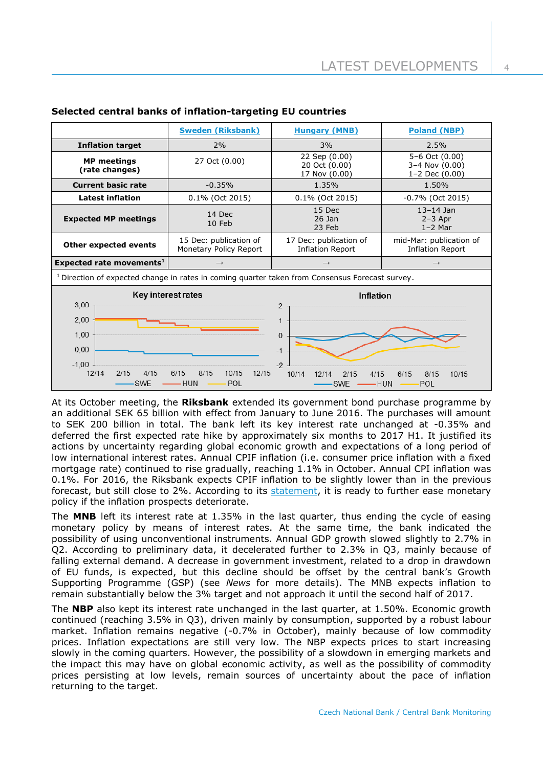|                                                                                                            | <b>Sweden (Riksbank)</b>                         | <b>Hungary (MNB)</b>                              | <b>Poland (NBP)</b>                                |  |  |
|------------------------------------------------------------------------------------------------------------|--------------------------------------------------|---------------------------------------------------|----------------------------------------------------|--|--|
| <b>Inflation target</b>                                                                                    | 2%                                               | 3%                                                | 2.5%                                               |  |  |
| <b>MP</b> meetings<br>(rate changes)                                                                       | 27 Oct (0.00)                                    | 22 Sep (0.00)<br>20 Oct (0.00)<br>17 Nov (0.00)   | 5-6 Oct (0.00)<br>3-4 Nov (0.00)<br>1-2 Dec (0.00) |  |  |
| <b>Current basic rate</b>                                                                                  | $-0.35%$                                         | 1.35%                                             | 1.50%                                              |  |  |
| <b>Latest inflation</b>                                                                                    | $0.1\%$ (Oct 2015)                               | 0.1% (Oct 2015)                                   | $-0.7\%$ (Oct 2015)                                |  |  |
| <b>Expected MP meetings</b>                                                                                | 14 Dec<br>10 Feb                                 | 15 Dec<br>$26$ Jan<br>23 Feb                      | $13 - 14$ Jan<br>$2-3$ Apr<br>$1-2$ Mar            |  |  |
| <b>Other expected events</b>                                                                               | 15 Dec: publication of<br>Monetary Policy Report | 17 Dec: publication of<br><b>Inflation Report</b> | mid-Mar: publication of<br>Inflation Report        |  |  |
| Expected rate movements <sup>1</sup>                                                                       | $\rightarrow$                                    | $\rightarrow$                                     | $\rightarrow$                                      |  |  |
| <sup>1</sup> Direction of expected change in rates in coming quarter taken from Consensus Forecast survey. |                                                  |                                                   |                                                    |  |  |
| Key interest rates                                                                                         |                                                  | Inflation                                         |                                                    |  |  |
| 3,00                                                                                                       |                                                  | 2                                                 |                                                    |  |  |
| 2,00                                                                                                       |                                                  |                                                   |                                                    |  |  |
| 1,00                                                                                                       |                                                  | $\Omega$                                          |                                                    |  |  |
|                                                                                                            |                                                  |                                                   |                                                    |  |  |
| 0,00                                                                                                       |                                                  | $-1$                                              |                                                    |  |  |
| $-1,00$                                                                                                    |                                                  | $-2$                                              |                                                    |  |  |

# **Selected central banks of inflation-targeting EU countries**

At its October meeting, the **Riksbank** extended its government bond purchase programme by an additional SEK 65 billion with effect from January to June 2016. The purchases will amount to SEK 200 billion in total. The bank left its key interest rate unchanged at -0.35% and deferred the first expected rate hike by approximately six months to 2017 H1. It justified its actions by uncertainty regarding global economic growth and expectations of a long period of low international interest rates. Annual CPIF inflation (i.e. consumer price inflation with a fixed mortgage rate) continued to rise gradually, reaching 1.1% in October. Annual CPI inflation was 0.1%. For 2016, the Riksbank expects CPIF inflation to be slightly lower than in the previous forecast, but still close to 2%. According to its [statement,](http://www.riksbank.se/en/Press-and-published/Press-Releases/2015/prm151028/) it is ready to further ease monetary policy if the inflation prospects deteriorate.

The **MNB** left its interest rate at 1.35% in the last quarter, thus ending the cycle of easing monetary policy by means of interest rates. At the same time, the bank indicated the possibility of using unconventional instruments. Annual GDP growth slowed slightly to 2.7% in Q2. According to preliminary data, it decelerated further to 2.3% in Q3, mainly because of falling external demand. A decrease in government investment, related to a drop in drawdown of EU funds, is expected, but this decline should be offset by the central bank's Growth Supporting Programme (GSP) (see *News* for more details). The MNB expects inflation to remain substantially below the 3% target and not approach it until the second half of 2017.

The **NBP** also kept its interest rate unchanged in the last quarter, at 1.50%. Economic growth continued (reaching 3.5% in Q3), driven mainly by consumption, supported by a robust labour market. Inflation remains negative (-0.7% in October), mainly because of low commodity prices. Inflation expectations are still very low. The NBP expects prices to start increasing slowly in the coming quarters. However, the possibility of a slowdown in emerging markets and the impact this may have on global economic activity, as well as the possibility of commodity prices persisting at low levels, remain sources of uncertainty about the pace of inflation returning to the target.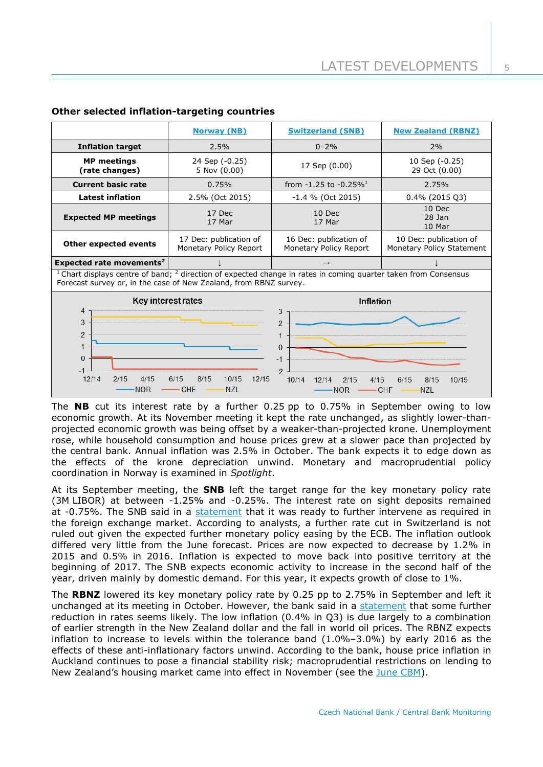|                                                                                                                                                                                               | <b>Norway (NB)</b>                               | <b>Switzerland (SNB)</b>                                                              | <b>New Zealand (RBNZ)</b>                           |  |  |
|-----------------------------------------------------------------------------------------------------------------------------------------------------------------------------------------------|--------------------------------------------------|---------------------------------------------------------------------------------------|-----------------------------------------------------|--|--|
| <b>Inflation target</b>                                                                                                                                                                       | 2.5%                                             | $0 - 2\%$                                                                             | 2%                                                  |  |  |
| <b>MP</b> meetings<br>(rate changes)                                                                                                                                                          | 24 Sep (-0.25)<br>5 Nov (0.00)                   | 17 Sep (0.00)                                                                         | 10 Sep (-0.25)<br>29 Oct (0.00)                     |  |  |
| <b>Current basic rate</b>                                                                                                                                                                     | 0.75%                                            | from $-1.25$ to $-0.25\%$ <sup>1</sup>                                                | 2.75%                                               |  |  |
| <b>Latest inflation</b>                                                                                                                                                                       | 2.5% (Oct 2015)                                  | $-1.4$ % (Oct 2015)                                                                   | $0.4\%$ (2015 Q3)                                   |  |  |
| <b>Expected MP meetings</b>                                                                                                                                                                   | 17 Dec<br>17 Mar                                 | 10 Dec<br>17 Mar                                                                      | 10 Dec<br>$28$ Jan<br>10 Mar                        |  |  |
| Other expected events                                                                                                                                                                         | 17 Dec: publication of<br>Monetary Policy Report | 16 Dec: publication of<br>Monetary Policy Report                                      | 10 Dec: publication of<br>Monetary Policy Statement |  |  |
| Expected rate movements <sup>2</sup>                                                                                                                                                          |                                                  |                                                                                       |                                                     |  |  |
| Chart displays centre of band; <sup>2</sup> direction of expected change in rates in coming quarter taken from Consensus<br>Forecast survey or, in the case of New Zealand, from RBNZ survey. |                                                  |                                                                                       |                                                     |  |  |
| Key interest rates                                                                                                                                                                            |                                                  | Inflation                                                                             |                                                     |  |  |
|                                                                                                                                                                                               |                                                  |                                                                                       |                                                     |  |  |
| $\overline{4}$<br>3<br>2<br>$\mathbf{1}$<br>$\Omega$<br>$-1$<br>12/14<br>2/15<br>4/15                                                                                                         | 8/15<br>6/15<br>10/15<br>12/15                   | 3<br>$\mathfrak{p}$<br>$\mathbf{0}$<br>$-1$<br>$-2$<br>10/14<br>12/14<br>4/15<br>2/15 | 6/15<br>8/15<br>10/15                               |  |  |

# **Other selected inflation-targeting countries**

The **NB** cut its interest rate by a further 0.25 pp to 0.75% in September owing to low economic growth. At its November meeting it kept the rate unchanged, as slightly lower-thanprojected economic growth was being offset by a weaker-than-projected krone. Unemployment rose, while household consumption and house prices grew at a slower pace than projected by the central bank. Annual inflation was 2.5% in October. The bank expects it to edge down as the effects of the krone depreciation unwind. Monetary and macroprudential policy coordination in Norway is examined in *Spotlight*.

At its September meeting, the **SNB** left the target range for the key monetary policy rate (3M LIBOR) at between -1.25% and -0.25%. The interest rate on sight deposits remained at -0.75%. The SNB said in a [statement](http://www.snb.ch/en/mmr/reference/pre_20150917/source/pre_20150917.en.pdf) that it was ready to further intervene as required in the foreign exchange market. According to analysts, a further rate cut in Switzerland is not ruled out given the expected further monetary policy easing by the ECB. The inflation outlook differed very little from the June forecast. Prices are now expected to decrease by 1.2% in 2015 and 0.5% in 2016. Inflation is expected to move back into positive territory at the beginning of 2017. The SNB expects economic activity to increase in the second half of the year, driven mainly by domestic demand. For this year, it expects growth of close to 1%.

The **RBNZ** lowered its key monetary policy rate by 0.25 pp to 2.75% in September and left it unchanged at its meeting in October. However, the bank said in a [statement](http://www.rbnz.govt.nz/news/2015/ocr-29-oct-2015.html) that some further reduction in rates seems likely. The low inflation (0.4% in Q3) is due largely to a combination of earlier strength in the New Zealand dollar and the fall in world oil prices. The RBNZ expects inflation to increase to levels within the tolerance band (1.0%–3.0%) by early 2016 as the effects of these anti-inflationary factors unwind. According to the bank, house price inflation in Auckland continues to pose a financial stability risk; macroprudential restrictions on lending to New Zealand's housing market came into effect in November (see the [June CBM\)](http://www.cnb.cz/miranda2/export/sites/www.cnb.cz/en/monetary_policy/monitoring/download/1502_cbm.pdf).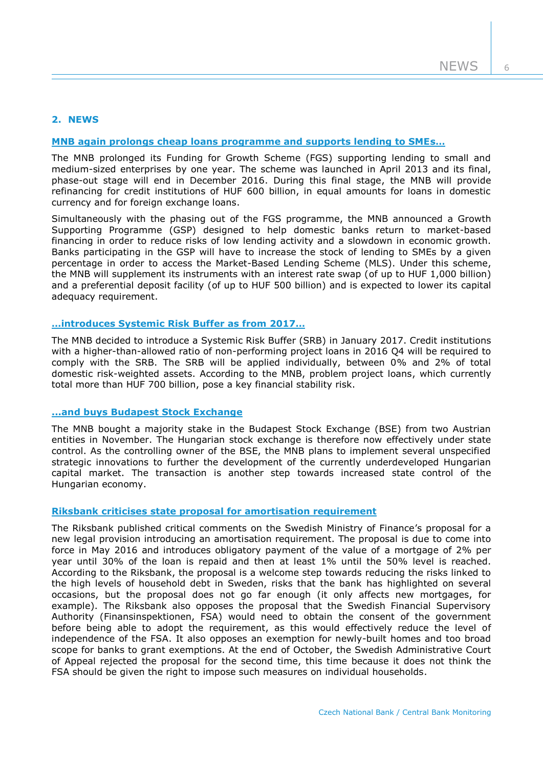# **2. NEWS**

## **[MNB again prolongs cheap loans programme and supports lending to SME](http://www.mnb.hu/en/pressroom/press-releases/press-releases-2015/restoring-market-based-financing-and-achieving-a-lasting-turnaround-in-lending-are-priorities)s…**

The MNB prolonged its Funding for Growth Scheme (FGS) supporting lending to small and medium-sized enterprises by one year. The scheme was launched in April 2013 and its final, phase-out stage will end in December 2016. During this final stage, the MNB will provide refinancing for credit institutions of HUF 600 billion, in equal amounts for loans in domestic currency and for foreign exchange loans.

Simultaneously with the phasing out of the FGS programme, the MNB announced a Growth Supporting Programme (GSP) designed to help domestic banks return to market-based financing in order to reduce risks of low lending activity and a slowdown in economic growth. Banks participating in the GSP will have to increase the stock of lending to SMEs by a given percentage in order to access the Market-Based Lending Scheme (MLS). Under this scheme, the MNB will supplement its instruments with an interest rate swap (of up to HUF 1,000 billion) and a preferential deposit facility (of up to HUF 500 billion) and is expected to lower its capital adequacy requirement.

# **[…introduces Systemic Risk Buf](http://www.mnb.hu/en/pressroom/press-releases/press-releases-2015/mnb-introduces-systemic-risk-buffer-to-manage-risks-arising-from-problem-project-loans)fer as from 2017…**

The MNB decided to introduce a Systemic Risk Buffer (SRB) in January 2017. Credit institutions with a higher-than-allowed ratio of non-performing project loans in 2016 Q4 will be required to comply with the SRB. The SRB will be applied individually, between 0% and 2% of total domestic risk-weighted assets. According to the MNB, problem project loans, which currently total more than HUF 700 billion, pose a key financial stability risk.

#### **[...and buys Budapest Stock Exchange](http://www.mnb.hu/en/pressroom/press-releases/press-releases-2015/budapest-stock-exchange-is-once-again-in-hungarian-hands)**

The MNB bought a majority stake in the Budapest Stock Exchange (BSE) from two Austrian entities in November. The Hungarian stock exchange is therefore now effectively under state control. As the controlling owner of the BSE, the MNB plans to implement several unspecified strategic innovations to further the development of the currently underdeveloped Hungarian capital market. The transaction is another step towards increased state control of the Hungarian economy.

#### **Riksbank [criticises state proposal for](http://www.riksbank.se/en/Press-and-published/Notices/2015/Ministry-of-Finance-proposal-for-a-new-provision-introducing-an-amortisation-requirement/) amortisation requirement**

The Riksbank published critical comments on the Swedish Ministry of Finance's proposal for a new legal provision introducing an amortisation requirement. The proposal is due to come into force in May 2016 and introduces obligatory payment of the value of a mortgage of 2% per year until 30% of the loan is repaid and then at least 1% until the 50% level is reached. According to the Riksbank, the proposal is a welcome step towards reducing the risks linked to the high levels of household debt in Sweden, risks that the bank has highlighted on several occasions, but the proposal does not go far enough (it only affects new mortgages, for example). The Riksbank also opposes the proposal that the Swedish Financial Supervisory Authority (Finansinspektionen, FSA) would need to obtain the consent of the government before being able to adopt the requirement, as this would effectively reduce the level of independence of the FSA. It also opposes an exemption for newly-built homes and too broad scope for banks to grant exemptions. At the end of October, the Swedish Administrative Court of Appeal rejected the proposal for the second time, this time because it does not think the FSA should be given the right to impose such measures on individual households.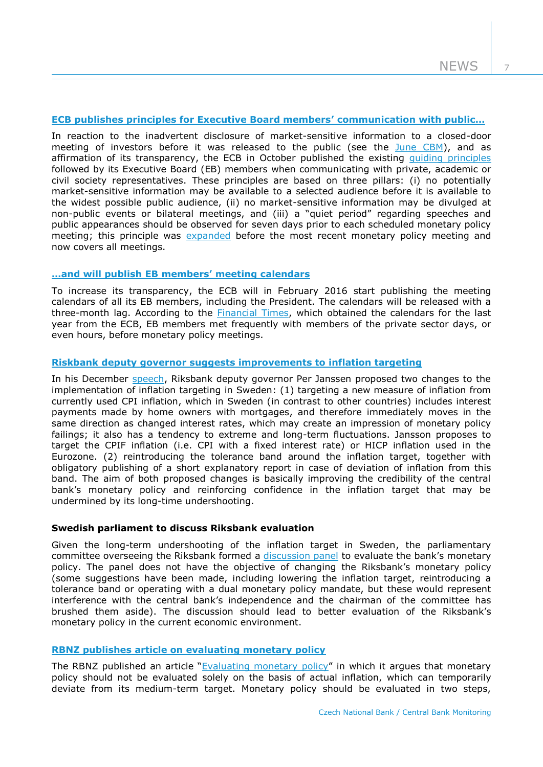7

# **[ECB publishes principles for Executive Board members](http://www.ecb.europa.eu/press/pr/date/2015/html/pr151006.en.html)' communication with public…**

In reaction to the inadvertent disclosure of market-sensitive information to a closed-door meeting of investors before it was released to the public (see the [June CBM\)](http://www.cnb.cz/miranda2/export/sites/www.cnb.cz/en/monetary_policy/monitoring/download/1502_cbm.pdf), and as affirmation of its transparency, the ECB in October published the existing [guiding principles](http://www.ecb.europa.eu/ecb/orga/transparency/html/eb-communications-guidelines.en.html) followed by its Executive Board (EB) members when communicating with private, academic or civil society representatives. These principles are based on three pillars: (i) no potentially market-sensitive information may be available to a selected audience before it is available to the widest possible public audience, (ii) no market-sensitive information may be divulged at non-public events or bilateral meetings, and (iii) a "quiet period" regarding speeches and public appearances should be observed for seven days prior to each scheduled monetary policy meeting; this principle was [expanded](https://www.ecb.europa.eu/pub/pdf/other/151202letter_valli_zanni.en.pdf?e85e802150e5dc8f380045854d67b3fd) before the most recent monetary policy meeting and now covers all meetings.

# **[…and will publish](https://www.ecb.europa.eu/press/pr/date/2015/html/pr151030.en.html) EB members' meeting calendars**

To increase its transparency, the ECB will in February 2016 start publishing the meeting calendars of all its EB members, including the President. The calendars will be released with a three-month lag. According to the **Financial Times**, which obtained the calendars for the last year from the ECB, EB members met frequently with members of the private sector days, or even hours, before monetary policy meetings.

## **[Riskbank deputy governor suggests improvements to inflation targeting](http://www.riksbank.se/en/Press-and-published/Speeches/2015/Jansson-Time-to-improve-the-inflation-target/)**

In his December [speech,](http://www.riksbank.se/Documents/Tal/Jansson/2015/tal_jansson_151203_eng.pdf) Riksbank deputy governor Per Janssen proposed two changes to the implementation of inflation targeting in Sweden: (1) targeting a new measure of inflation from currently used CPI inflation, which in Sweden (in contrast to other countries) includes interest payments made by home owners with mortgages, and therefore immediately moves in the same direction as changed interest rates, which may create an impression of monetary policy failings; it also has a tendency to extreme and long-term fluctuations. Jansson proposes to target the CPIF inflation (i.e. CPI with a fixed interest rate) or HICP inflation used in the Eurozone. (2) reintroducing the tolerance band around the inflation target, together with obligatory publishing of a short explanatory report in case of deviation of inflation from this band. The aim of both proposed changes is basically improving the credibility of the central bank's monetary policy and reinforcing confidence in the inflation target that may be undermined by its long-time undershooting.

## **Swedish parliament to discuss Riksbank evaluation**

Given the long-term undershooting of the inflation target in Sweden, the parliamentary committee overseeing the Riksbank formed a [discussion panel](http://www.bloomberg.com/news/articles/2015-10-20/sweden-to-revisit-central-bank-mandate-after-era-of-disinflation) to evaluate the bank's monetary policy. The panel does not have the objective of changing the Riksbank's monetary policy (some suggestions have been made, including lowering the inflation target, reintroducing a tolerance band or operating with a dual monetary policy mandate, but these would represent interference with the central bank's independence and the chairman of the committee has brushed them aside). The discussion should lead to better evaluation of the Riksbank's monetary policy in the current economic environment.

## **[RBNZ publishes article on evaluating monetary policy](http://www.rbnz.govt.nz/news/2015/bulletin-evaluating-monetary-policy.html)**

The RBNZ published an article "[Evaluating monetary policy](http://www.rbnz.govt.nz/research_and_publications/reserve_bank_bulletin/2015/2015nov78-7.pdf)" in which it argues that monetary policy should not be evaluated solely on the basis of actual inflation, which can temporarily deviate from its medium-term target. Monetary policy should be evaluated in two steps,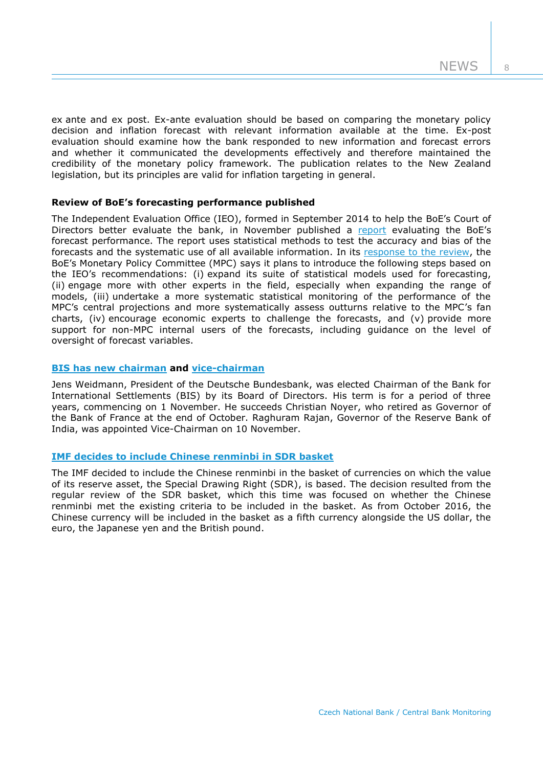8

ex ante and ex post. Ex-ante evaluation should be based on comparing the monetary policy decision and inflation forecast with relevant information available at the time. Ex-post evaluation should examine how the bank responded to new information and forecast errors and whether it communicated the developments effectively and therefore maintained the credibility of the monetary policy framework. The publication relates to the New Zealand legislation, but its principles are valid for inflation targeting in general.

# **Review of BoE's forecasting performance published**

The Independent Evaluation Office (IEO), formed in September 2014 to help the BoE's Court of Directors better evaluate the bank, in November published a [report](http://www.bankofengland.co.uk/about/Documents/ieo/evaluation1115.pdf) evaluating the BoE's forecast performance. The report uses statistical methods to test the accuracy and bias of the forecasts and the systematic use of all available information. In its [response to the review,](http://www.bankofengland.co.uk/about/Documents/ieo/responseieoreport.pdf) the BoE's Monetary Policy Committee (MPC) says it plans to introduce the following steps based on the IEO's recommendations: (i) expand its suite of statistical models used for forecasting, (ii) engage more with other experts in the field, especially when expanding the range of models, (iii) undertake a more systematic statistical monitoring of the performance of the MPC's central projections and more systematically assess outturns relative to the MPC's fan charts, (iv) encourage economic experts to challenge the forecasts, and (v) provide more support for non-MPC internal users of the forecasts, including guidance on the level of oversight of forecast variables.

## **[BIS has new chairman](https://www.bis.org/press/p150907.htm) and [vice-chairman](http://www.bis.org/press/p151110.htm)**

Jens Weidmann, President of the Deutsche Bundesbank, was elected Chairman of the Bank for International Settlements (BIS) by its Board of Directors. His term is for a period of three years, commencing on 1 November. He succeeds Christian Noyer, who retired as Governor of the Bank of France at the end of October. Raghuram Rajan, Governor of the Reserve Bank of India, was appointed Vice-Chairman on 10 November.

# **IMF decides to include [Chinese renminbi](http://www.imf.org/external/np/sec/pr/2015/pr15540.htm) in SDR basket**

The IMF decided to include the Chinese renminbi in the basket of currencies on which the value of its reserve asset, the Special Drawing Right (SDR), is based. The decision resulted from the regular review of the SDR basket, which this time was focused on whether the Chinese renminbi met the existing criteria to be included in the basket. As from October 2016, the Chinese currency will be included in the basket as a fifth currency alongside the US dollar, the euro, the Japanese yen and the British pound.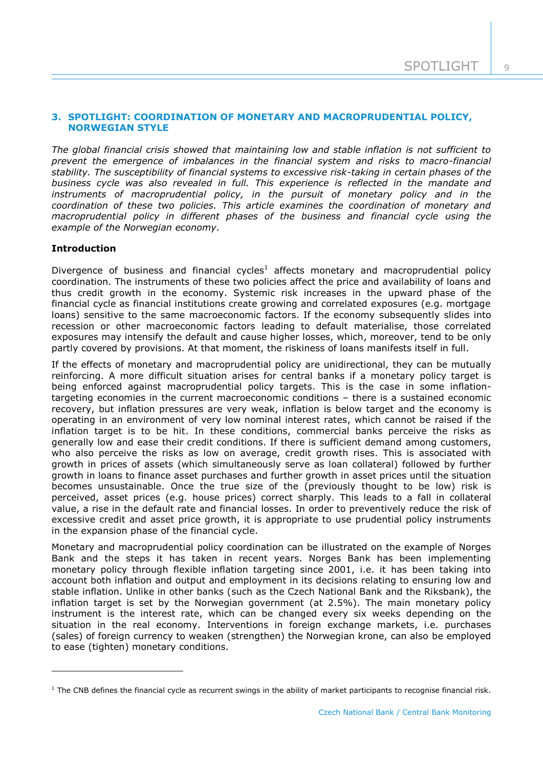# **3. SPOTLIGHT: COORDINATION OF MONETARY AND MACROPRUDENTIAL POLICY, NORWEGIAN STYLE**

*The global financial crisis showed that maintaining low and stable inflation is not sufficient to prevent the emergence of imbalances in the financial system and risks to macro-financial stability. The susceptibility of financial systems to excessive risk-taking in certain phases of the business cycle was also revealed in full. This experience is reflected in the mandate and instruments of macroprudential policy, in the pursuit of monetary policy and in the coordination of these two policies. This article examines the coordination of monetary and macroprudential policy in different phases of the business and financial cycle using the example of the Norwegian economy.*

# **Introduction**

 $\overline{a}$ 

Divergence of business and financial cycles<sup>1</sup> affects monetary and macroprudential policy coordination. The instruments of these two policies affect the price and availability of loans and thus credit growth in the economy. Systemic risk increases in the upward phase of the financial cycle as financial institutions create growing and correlated exposures (e.g. mortgage loans) sensitive to the same macroeconomic factors. If the economy subsequently slides into recession or other macroeconomic factors leading to default materialise, those correlated exposures may intensify the default and cause higher losses, which, moreover, tend to be only partly covered by provisions. At that moment, the riskiness of loans manifests itself in full.

If the effects of monetary and macroprudential policy are unidirectional, they can be mutually reinforcing. A more difficult situation arises for central banks if a monetary policy target is being enforced against macroprudential policy targets. This is the case in some inflationtargeting economies in the current macroeconomic conditions – there is a sustained economic recovery, but inflation pressures are very weak, inflation is below target and the economy is operating in an environment of very low nominal interest rates, which cannot be raised if the inflation target is to be hit. In these conditions, commercial banks perceive the risks as generally low and ease their credit conditions. If there is sufficient demand among customers, who also perceive the risks as low on average, credit growth rises. This is associated with growth in prices of assets (which simultaneously serve as loan collateral) followed by further growth in loans to finance asset purchases and further growth in asset prices until the situation becomes unsustainable. Once the true size of the (previously thought to be low) risk is perceived, asset prices (e.g. house prices) correct sharply. This leads to a fall in collateral value, a rise in the default rate and financial losses. In order to preventively reduce the risk of excessive credit and asset price growth, it is appropriate to use prudential policy instruments in the expansion phase of the financial cycle.

Monetary and macroprudential policy coordination can be illustrated on the example of Norges Bank and the steps it has taken in recent years. Norges Bank has been implementing monetary policy through flexible inflation targeting since 2001, i.e. it has been taking into account both inflation and output and employment in its decisions relating to ensuring low and stable inflation. Unlike in other banks (such as the Czech National Bank and the Riksbank), the inflation target is set by the Norwegian government (at 2.5%). The main monetary policy instrument is the interest rate, which can be changed every six weeks depending on the situation in the real economy. Interventions in foreign exchange markets, i.e. purchases (sales) of foreign currency to weaken (strengthen) the Norwegian krone, can also be employed to ease (tighten) monetary conditions.

 $1$  The CNB defines the financial cycle as recurrent swings in the ability of market participants to recognise financial risk.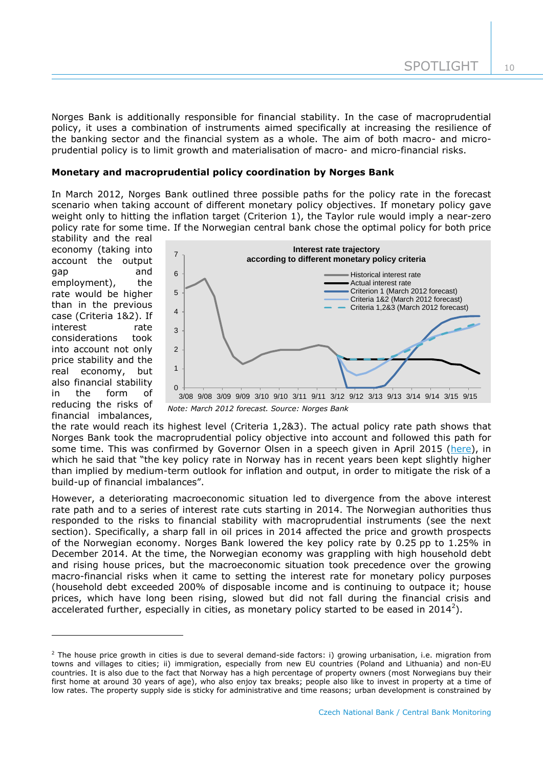Norges Bank is additionally responsible for financial stability. In the case of macroprudential policy, it uses a combination of instruments aimed specifically at increasing the resilience of the banking sector and the financial system as a whole. The aim of both macro- and microprudential policy is to limit growth and materialisation of macro- and micro-financial risks.

## **Monetary and macroprudential policy coordination by Norges Bank**

In March 2012, Norges Bank outlined three possible paths for the policy rate in the forecast scenario when taking account of different monetary policy objectives. If monetary policy gave weight only to hitting the inflation target (Criterion 1), the Taylor rule would imply a near-zero policy rate for some time. If the Norwegian central bank chose the optimal policy for both price

stability and the real economy (taking into account the output gap and employment), the rate would be higher than in the previous case (Criteria 1&2). If interest rate considerations took into account not only price stability and the real economy, but also financial stability in the form of reducing the risks of financial imbalances,

-



*Note: March 2012 forecast. Source: Norges Bank*

the rate would reach its highest level (Criteria 1,2&3). The actual policy rate path shows that Norges Bank took the macroprudential policy objective into account and followed this path for some time. This was confirmed by Governor Olsen in a speech given in April 2015 [\(here\)](http://www.norges-bank.no/en/Published/Speeches/2015/2015-04-27-Olsen-LSE/), in which he said that "the key policy rate in Norway has in recent years been kept slightly higher than implied by medium-term outlook for inflation and output, in order to mitigate the risk of a build-up of financial imbalances".

However, a deteriorating macroeconomic situation led to divergence from the above interest rate path and to a series of interest rate cuts starting in 2014. The Norwegian authorities thus responded to the risks to financial stability with macroprudential instruments (see the next section). Specifically, a sharp fall in oil prices in 2014 affected the price and growth prospects of the Norwegian economy. Norges Bank lowered the key policy rate by 0.25 pp to 1.25% in December 2014. At the time, the Norwegian economy was grappling with high household debt and rising house prices, but the macroeconomic situation took precedence over the growing macro-financial risks when it came to setting the interest rate for monetary policy purposes (household debt exceeded 200% of disposable income and is continuing to outpace it; house prices, which have long been rising, slowed but did not fall during the financial crisis and accelerated further, especially in cities, as monetary policy started to be eased in 2014<sup>2</sup>).

<sup>&</sup>lt;sup>2</sup> The house price growth in cities is due to several demand-side factors: i) growing urbanisation, i.e. migration from towns and villages to cities; ii) immigration, especially from new EU countries (Poland and Lithuania) and non-EU countries. It is also due to the fact that Norway has a high percentage of property owners (most Norwegians buy their first home at around 30 years of age), who also enjoy tax breaks; people also like to invest in property at a time of low rates. The property supply side is sticky for administrative and time reasons; urban development is constrained by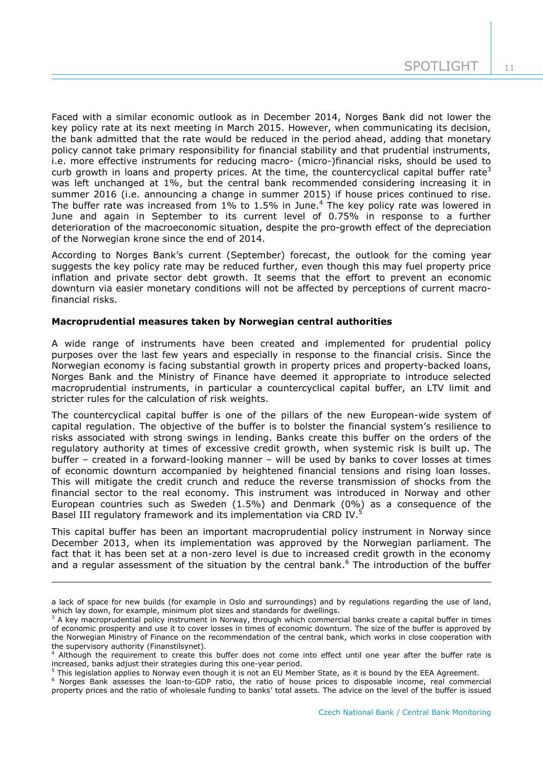Faced with a similar economic outlook as in December 2014, Norges Bank did not lower the key policy rate at its next meeting in March 2015. However, when communicating its decision, the bank admitted that the rate would be reduced in the period ahead, adding that monetary policy cannot take primary responsibility for financial stability and that prudential instruments, i.e. more effective instruments for reducing macro- (micro-)financial risks, should be used to curb growth in loans and property prices. At the time, the countercyclical capital buffer rate<sup>3</sup> was left unchanged at 1%, but the central bank recommended considering increasing it in summer 2016 (i.e. announcing a change in summer 2015) if house prices continued to rise. The buffer rate was increased from  $1\%$  to  $1.5\%$  in June.<sup>4</sup> The key policy rate was lowered in June and again in September to its current level of 0.75% in response to a further deterioration of the macroeconomic situation, despite the pro-growth effect of the depreciation of the Norwegian krone since the end of 2014.

According to Norges Bank's current (September) forecast, the outlook for the coming year suggests the key policy rate may be reduced further, even though this may fuel property price inflation and private sector debt growth. It seems that the effort to prevent an economic downturn via easier monetary conditions will not be affected by perceptions of current macrofinancial risks.

## **Macroprudential measures taken by Norwegian central authorities**

1

A wide range of instruments have been created and implemented for prudential policy purposes over the last few years and especially in response to the financial crisis. Since the Norwegian economy is facing substantial growth in property prices and property-backed loans, Norges Bank and the Ministry of Finance have deemed it appropriate to introduce selected macroprudential instruments, in particular a countercyclical capital buffer, an LTV limit and stricter rules for the calculation of risk weights.

The countercyclical capital buffer is one of the pillars of the new European-wide system of capital regulation. The objective of the buffer is to bolster the financial system's resilience to risks associated with strong swings in lending. Banks create this buffer on the orders of the regulatory authority at times of excessive credit growth, when systemic risk is built up. The buffer – created in a forward-looking manner – will be used by banks to cover losses at times of economic downturn accompanied by heightened financial tensions and rising loan losses. This will mitigate the credit crunch and reduce the reverse transmission of shocks from the financial sector to the real economy. This instrument was introduced in Norway and other European countries such as Sweden (1.5%) and Denmark (0%) as a consequence of the Basel III regulatory framework and its implementation via CRD IV.<sup>5</sup>

This capital buffer has been an important macroprudential policy instrument in Norway since December 2013, when its implementation was approved by the Norwegian parliament. The fact that it has been set at a non-zero level is due to increased credit growth in the economy and a regular assessment of the situation by the central bank.<sup>6</sup> The introduction of the buffer

a lack of space for new builds (for example in Oslo and surroundings) and by regulations regarding the use of land, which lay down, for example, minimum plot sizes and standards for dwellings.

<sup>&</sup>lt;sup>3</sup> A key macroprudential policy instrument in Norway, through which commercial banks create a capital buffer in times of economic prosperity and use it to cover losses in times of economic downturn. The size of the buffer is approved by the Norwegian Ministry of Finance on the recommendation of the central bank, which works in close cooperation with the supervisory authority (Finanstilsynet).

<sup>4</sup> Although the requirement to create this buffer does not come into effect until one year after the buffer rate is increased, banks adjust their strategies during this one-year period.

<sup>&</sup>lt;sup>5</sup> This legislation applies to Norway even though it is not an EU Member State, as it is bound by the EEA Agreement.

<sup>&</sup>lt;sup>6</sup> Norges Bank assesses the loan-to-GDP ratio, the ratio of house prices to disposable income, real commercial property prices and the ratio of wholesale funding to banks' total assets. The advice on the level of the buffer is issued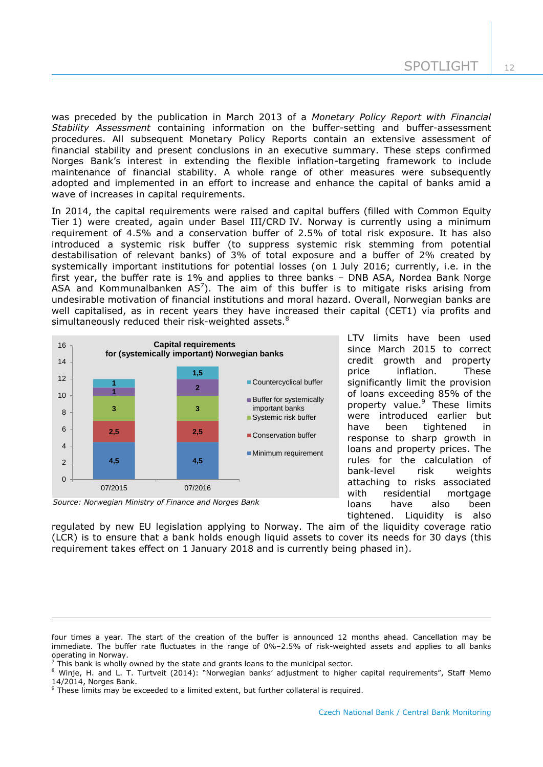was preceded by the publication in March 2013 of a *Monetary Policy Report with Financial Stability Assessment* containing information on the buffer-setting and buffer-assessment procedures. All subsequent Monetary Policy Reports contain an extensive assessment of financial stability and present conclusions in an executive summary. These steps confirmed Norges Bank's interest in extending the flexible inflation-targeting framework to include maintenance of financial stability. A whole range of other measures were subsequently adopted and implemented in an effort to increase and enhance the capital of banks amid a wave of increases in capital requirements.

In 2014, the capital requirements were raised and capital buffers (filled with Common Equity Tier 1) were created, again under Basel III/CRD IV. Norway is currently using a minimum requirement of 4.5% and a conservation buffer of 2.5% of total risk exposure. It has also introduced a systemic risk buffer (to suppress systemic risk stemming from potential destabilisation of relevant banks) of 3% of total exposure and a buffer of 2% created by systemically important institutions for potential losses (on 1 July 2016; currently, i.e. in the first year, the buffer rate is 1% and applies to three banks – DNB ASA, Nordea Bank Norge ASA and Kommunalbanken  $AS^7$ ). The aim of this buffer is to mitigate risks arising from undesirable motivation of financial institutions and moral hazard. Overall, Norwegian banks are well capitalised, as in recent years they have increased their capital (CET1) via profits and simultaneously reduced their risk-weighted assets.<sup>8</sup>



*Source: Norwegian Ministry of Finance and Norges Bank*

-

LTV limits have been used since March 2015 to correct credit growth and property price inflation. These significantly limit the provision of loans exceeding 85% of the property value.<sup>9</sup> These limits were introduced earlier but have been tightened in response to sharp growth in loans and property prices. The rules for the calculation of bank-level risk weights attaching to risks associated with residential mortgage loans have also been tightened. Liquidity is also

regulated by new EU legislation applying to Norway. The aim of the liquidity coverage ratio (LCR) is to ensure that a bank holds enough liquid assets to cover its needs for 30 days (this requirement takes effect on 1 January 2018 and is currently being phased in).

four times a year. The start of the creation of the buffer is announced 12 months ahead. Cancellation may be immediate. The buffer rate fluctuates in the range of 0%–2.5% of risk-weighted assets and applies to all banks operating in Norway.

<sup>7</sup> This bank is wholly owned by the state and grants loans to the municipal sector.

<sup>8</sup> Winje, H. and L. T. Turtveit (2014): "Norwegian banks' adjustment to higher capital requirements", Staff Memo 14/2014, Norges Bank.

 $9$  These limits may be exceeded to a limited extent, but further collateral is required.